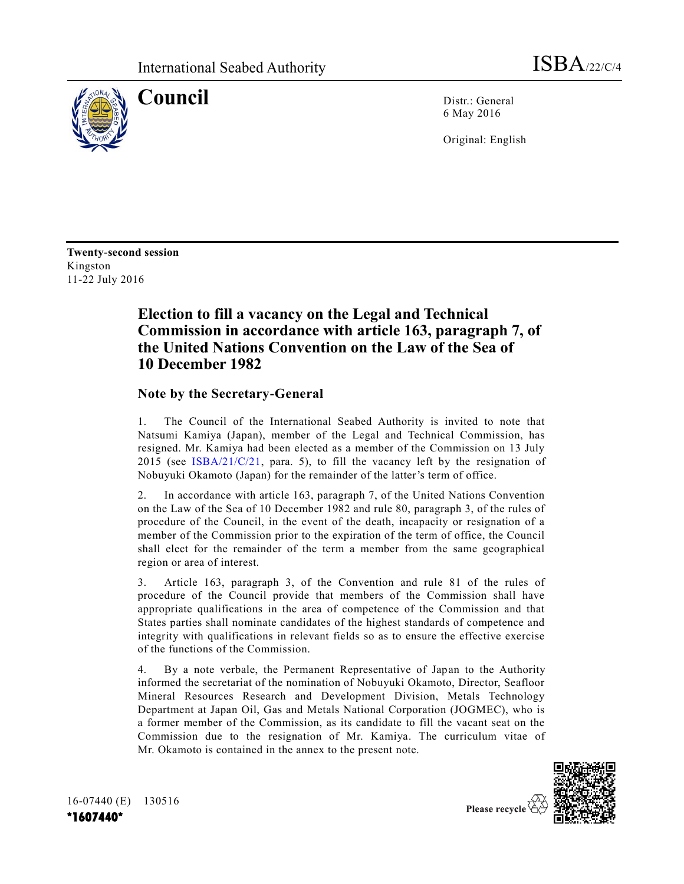

**Council** Distr.: General 6 May 2016

Original: English

**Twenty-second session**  Kingston 11-22 July 2016

# **Election to fill a vacancy on the Legal and Technical Commission in accordance with article 163, paragraph 7, of the United Nations Convention on the Law of the Sea of 10 December 1982**

# **Note by the Secretary-General**

1. The Council of the International Seabed Authority is invited to note that Natsumi Kamiya (Japan), member of the Legal and Technical Commission, has resigned. Mr. Kamiya had been elected as a member of the Commission on 13 July 2015 (see [ISBA/21/C/21,](http://undocs.org/ISBA/21/C/21) para. 5), to fill the vacancy left by the resignation of Nobuyuki Okamoto (Japan) for the remainder of the latter's term of office.

2. In accordance with article 163, paragraph 7, of the United Nations Convention on the Law of the Sea of 10 December 1982 and rule 80, paragraph 3, of the rules of procedure of the Council, in the event of the death, incapacity or resignation of a member of the Commission prior to the expiration of the term of office, the Council shall elect for the remainder of the term a member from the same geographical region or area of interest.

3. Article 163, paragraph 3, of the Convention and rule 81 of the rules of procedure of the Council provide that members of the Commission shall have appropriate qualifications in the area of competence of the Commission and that States parties shall nominate candidates of the highest standards of competence and integrity with qualifications in relevant fields so as to ensure the effective exercise of the functions of the Commission.

4. By a note verbale, the Permanent Representative of Japan to the Authority informed the secretariat of the nomination of Nobuyuki Okamoto, Director, Seafloor Mineral Resources Research and Development Division, Metals Technology Department at Japan Oil, Gas and Metals National Corporation (JOGMEC), who is a former member of the Commission, as its candidate to fill the vacant seat on the Commission due to the resignation of Mr. Kamiya. The curriculum vitae of Mr. Okamoto is contained in the annex to the present note.



16-07440 (E) 130516 **\*1607440\***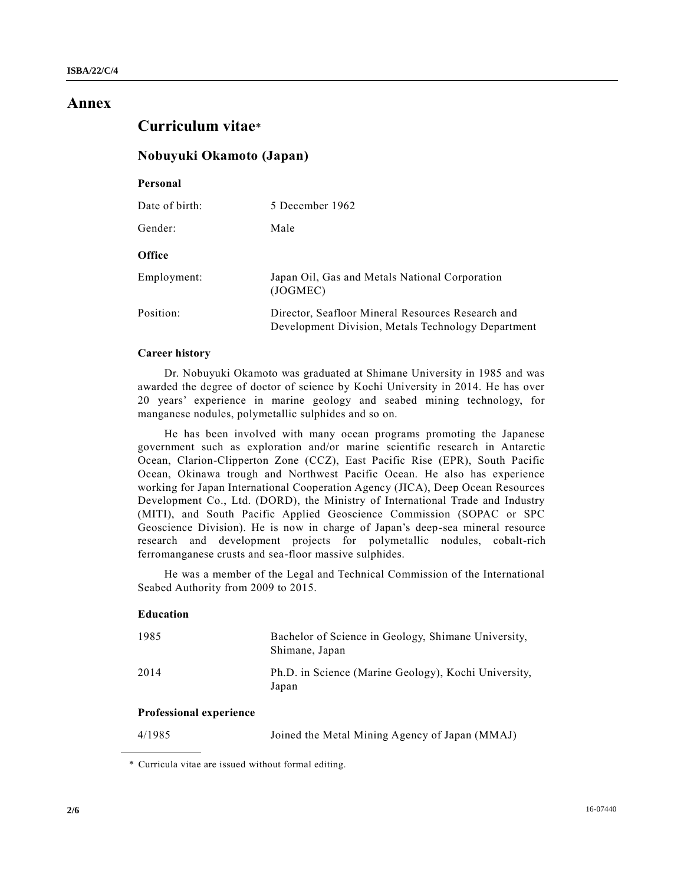## **Annex**

# **Curriculum vitae**\*

### **Nobuyuki Okamoto (Japan)**

| Personal       |                                                                                                         |
|----------------|---------------------------------------------------------------------------------------------------------|
| Date of birth: | 5 December 1962                                                                                         |
| Gender:        | Male                                                                                                    |
| <b>Office</b>  |                                                                                                         |
| Employment:    | Japan Oil, Gas and Metals National Corporation<br>(JOGMEC)                                              |
| Position:      | Director, Seafloor Mineral Resources Research and<br>Development Division, Metals Technology Department |

#### **Career history**

Dr. Nobuyuki Okamoto was graduated at Shimane University in 1985 and was awarded the degree of doctor of science by Kochi University in 2014. He has over 20 years' experience in marine geology and seabed mining technology, for manganese nodules, polymetallic sulphides and so on.

He has been involved with many ocean programs promoting the Japanese government such as exploration and/or marine scientific research in Antarctic Ocean, Clarion-Clipperton Zone (CCZ), East Pacific Rise (EPR), South Pacific Ocean, Okinawa trough and Northwest Pacific Ocean. He also has experience working for Japan International Cooperation Agency (JICA), Deep Ocean Resources Development Co., Ltd. (DORD), the Ministry of International Trade and Industry (MITI), and South Pacific Applied Geoscience Commission (SOPAC or SPC Geoscience Division). He is now in charge of Japan's deep-sea mineral resource research and development projects for polymetallic nodules, cobalt-rich ferromanganese crusts and sea-floor massive sulphides.

He was a member of the Legal and Technical Commission of the International Seabed Authority from 2009 to 2015.

### **Education**

| 1985 | Bachelor of Science in Geology, Shimane University,<br>Shimane, Japan |
|------|-----------------------------------------------------------------------|
| 2014 | Ph.D. in Science (Marine Geology), Kochi University,<br>Japan         |

#### **Professional experience**

| 4/1985 | Joined the Metal Mining Agency of Japan (MMAJ) |  |
|--------|------------------------------------------------|--|
|--------|------------------------------------------------|--|

<sup>\*</sup> Curricula vitae are issued without formal editing.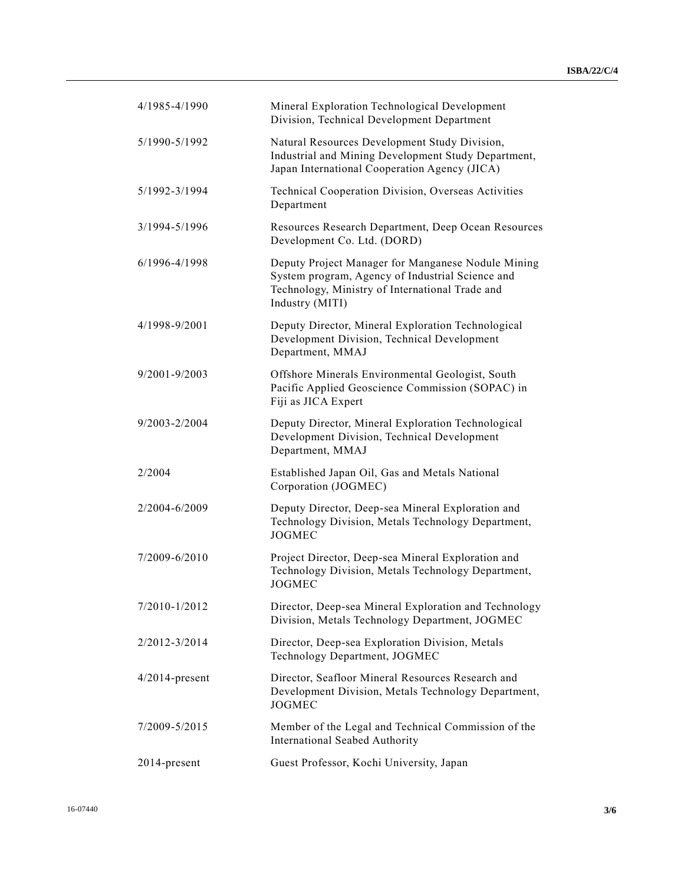| 4/1985-4/1990     | Mineral Exploration Technological Development<br>Division, Technical Development Department                                                                                  |
|-------------------|------------------------------------------------------------------------------------------------------------------------------------------------------------------------------|
| 5/1990-5/1992     | Natural Resources Development Study Division,<br>Industrial and Mining Development Study Department,<br>Japan International Cooperation Agency (JICA)                        |
| 5/1992-3/1994     | Technical Cooperation Division, Overseas Activities<br>Department                                                                                                            |
| 3/1994-5/1996     | Resources Research Department, Deep Ocean Resources<br>Development Co. Ltd. (DORD)                                                                                           |
| 6/1996-4/1998     | Deputy Project Manager for Manganese Nodule Mining<br>System program, Agency of Industrial Science and<br>Technology, Ministry of International Trade and<br>Industry (MITI) |
| 4/1998-9/2001     | Deputy Director, Mineral Exploration Technological<br>Development Division, Technical Development<br>Department, MMAJ                                                        |
| 9/2001-9/2003     | Offshore Minerals Environmental Geologist, South<br>Pacific Applied Geoscience Commission (SOPAC) in<br>Fiji as JICA Expert                                                  |
| 9/2003-2/2004     | Deputy Director, Mineral Exploration Technological<br>Development Division, Technical Development<br>Department, MMAJ                                                        |
| 2/2004            | Established Japan Oil, Gas and Metals National<br>Corporation (JOGMEC)                                                                                                       |
| 2/2004-6/2009     | Deputy Director, Deep-sea Mineral Exploration and<br>Technology Division, Metals Technology Department,<br><b>JOGMEC</b>                                                     |
| 7/2009-6/2010     | Project Director, Deep-sea Mineral Exploration and<br>Technology Division, Metals Technology Department,<br><b>JOGMEC</b>                                                    |
| 7/2010-1/2012     | Director, Deep-sea Mineral Exploration and Technology<br>Division, Metals Technology Department, JOGMEC                                                                      |
| 2/2012-3/2014     | Director, Deep-sea Exploration Division, Metals<br>Technology Department, JOGMEC                                                                                             |
| $4/2014$ -present | Director, Seafloor Mineral Resources Research and<br>Development Division, Metals Technology Department,<br><b>JOGMEC</b>                                                    |
| 7/2009-5/2015     | Member of the Legal and Technical Commission of the<br>International Seabed Authority                                                                                        |
| 2014-present      | Guest Professor, Kochi University, Japan                                                                                                                                     |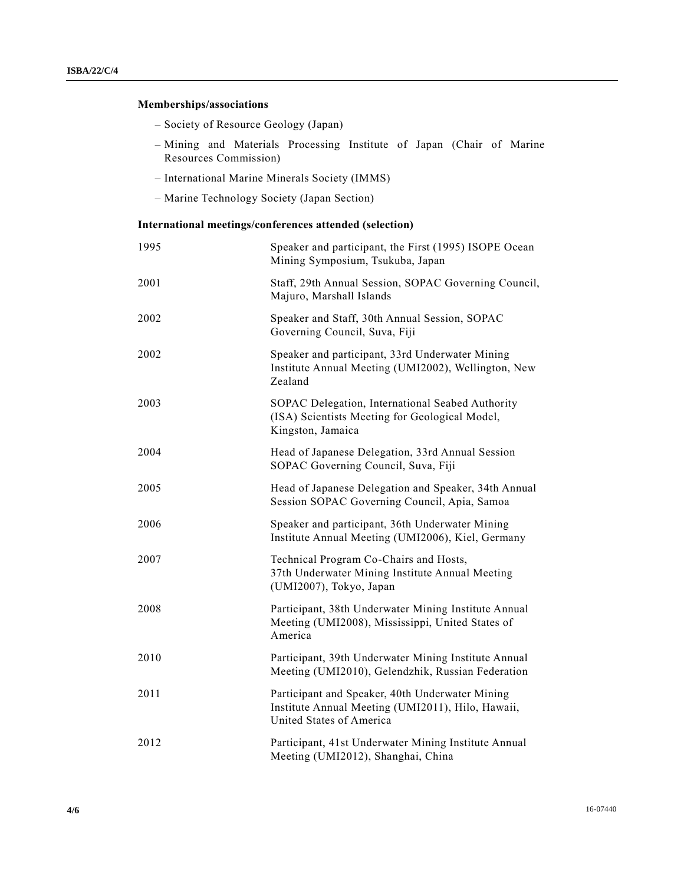## **Memberships/associations**

- Society of Resource Geology (Japan)
- Mining and Materials Processing Institute of Japan (Chair of Marine Resources Commission)
- International Marine Minerals Society (IMMS)
- Marine Technology Society (Japan Section)

### **International meetings/conferences attended (selection)**

| 1995 | Speaker and participant, the First (1995) ISOPE Ocean<br>Mining Symposium, Tsukuba, Japan                                        |
|------|----------------------------------------------------------------------------------------------------------------------------------|
| 2001 | Staff, 29th Annual Session, SOPAC Governing Council,<br>Majuro, Marshall Islands                                                 |
| 2002 | Speaker and Staff, 30th Annual Session, SOPAC<br>Governing Council, Suva, Fiji                                                   |
| 2002 | Speaker and participant, 33rd Underwater Mining<br>Institute Annual Meeting (UMI2002), Wellington, New<br>Zealand                |
| 2003 | SOPAC Delegation, International Seabed Authority<br>(ISA) Scientists Meeting for Geological Model,<br>Kingston, Jamaica          |
| 2004 | Head of Japanese Delegation, 33rd Annual Session<br>SOPAC Governing Council, Suva, Fiji                                          |
| 2005 | Head of Japanese Delegation and Speaker, 34th Annual<br>Session SOPAC Governing Council, Apia, Samoa                             |
| 2006 | Speaker and participant, 36th Underwater Mining<br>Institute Annual Meeting (UMI2006), Kiel, Germany                             |
| 2007 | Technical Program Co-Chairs and Hosts,<br>37th Underwater Mining Institute Annual Meeting<br>(UMI2007), Tokyo, Japan             |
| 2008 | Participant, 38th Underwater Mining Institute Annual<br>Meeting (UMI2008), Mississippi, United States of<br>America              |
| 2010 | Participant, 39th Underwater Mining Institute Annual<br>Meeting (UMI2010), Gelendzhik, Russian Federation                        |
| 2011 | Participant and Speaker, 40th Underwater Mining<br>Institute Annual Meeting (UMI2011), Hilo, Hawaii,<br>United States of America |
| 2012 | Participant, 41st Underwater Mining Institute Annual<br>Meeting (UMI2012), Shanghai, China                                       |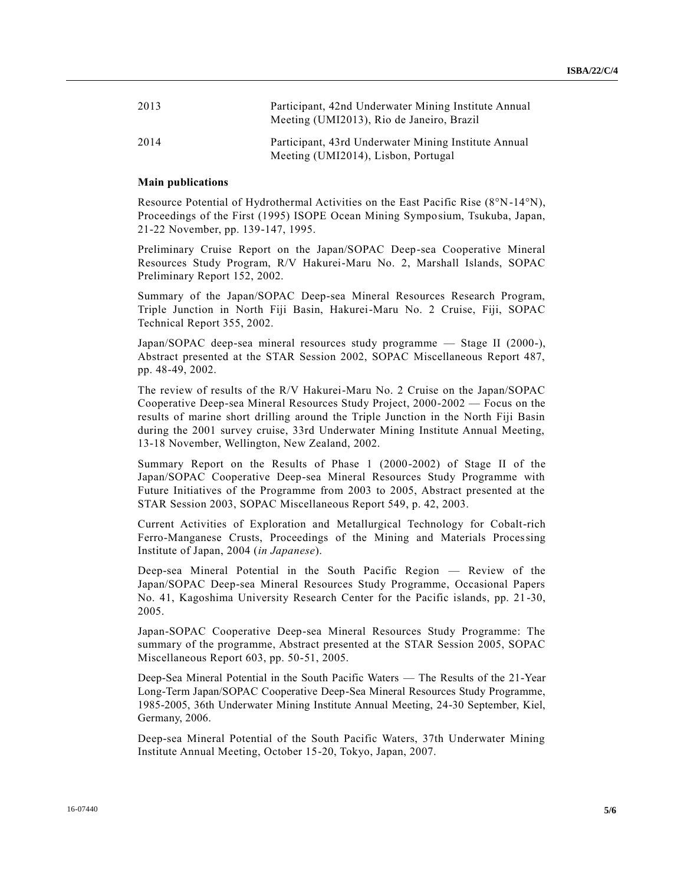| 2013 | Participant, 42nd Underwater Mining Institute Annual<br>Meeting (UMI2013), Rio de Janeiro, Brazil |
|------|---------------------------------------------------------------------------------------------------|
| 2014 | Participant, 43rd Underwater Mining Institute Annual<br>Meeting (UMI2014), Lisbon, Portugal       |

#### **Main publications**

Resource Potential of Hydrothermal Activities on the East Pacific Rise (8°N-14°N), Proceedings of the First (1995) ISOPE Ocean Mining Symposium, Tsukuba, Japan, 21-22 November, pp. 139-147, 1995.

Preliminary Cruise Report on the Japan/SOPAC Deep-sea Cooperative Mineral Resources Study Program, R/V Hakurei-Maru No. 2, Marshall Islands, SOPAC Preliminary Report 152, 2002.

Summary of the Japan/SOPAC Deep-sea Mineral Resources Research Program, Triple Junction in North Fiji Basin, Hakurei-Maru No. 2 Cruise, Fiji, SOPAC Technical Report 355, 2002.

Japan/SOPAC deep-sea mineral resources study programme — Stage II (2000-), Abstract presented at the STAR Session 2002, SOPAC Miscellaneous Report 487, pp. 48-49, 2002.

The review of results of the R/V Hakurei-Maru No. 2 Cruise on the Japan/SOPAC Cooperative Deep-sea Mineral Resources Study Project, 2000-2002 — Focus on the results of marine short drilling around the Triple Junction in the North Fiji Basin during the 2001 survey cruise, 33rd Underwater Mining Institute Annual Meeting, 13-18 November, Wellington, New Zealand, 2002.

Summary Report on the Results of Phase 1 (2000-2002) of Stage II of the Japan/SOPAC Cooperative Deep-sea Mineral Resources Study Programme with Future Initiatives of the Programme from 2003 to 2005, Abstract presented at the STAR Session 2003, SOPAC Miscellaneous Report 549, p. 42, 2003.

Current Activities of Exploration and Metallurgical Technology for Cobalt-rich Ferro-Manganese Crusts, Proceedings of the Mining and Materials Processing Institute of Japan, 2004 (*in Japanese*).

Deep-sea Mineral Potential in the South Pacific Region — Review of the Japan/SOPAC Deep-sea Mineral Resources Study Programme, Occasional Papers No. 41, Kagoshima University Research Center for the Pacific islands, pp. 21-30, 2005.

Japan-SOPAC Cooperative Deep-sea Mineral Resources Study Programme: The summary of the programme, Abstract presented at the STAR Session 2005, SOPAC Miscellaneous Report 603, pp. 50-51, 2005.

Deep-Sea Mineral Potential in the South Pacific Waters — The Results of the 21-Year Long-Term Japan/SOPAC Cooperative Deep-Sea Mineral Resources Study Programme, 1985-2005, 36th Underwater Mining Institute Annual Meeting, 24-30 September, Kiel, Germany, 2006.

Deep-sea Mineral Potential of the South Pacific Waters, 37th Underwater Mining Institute Annual Meeting, October 15-20, Tokyo, Japan, 2007.